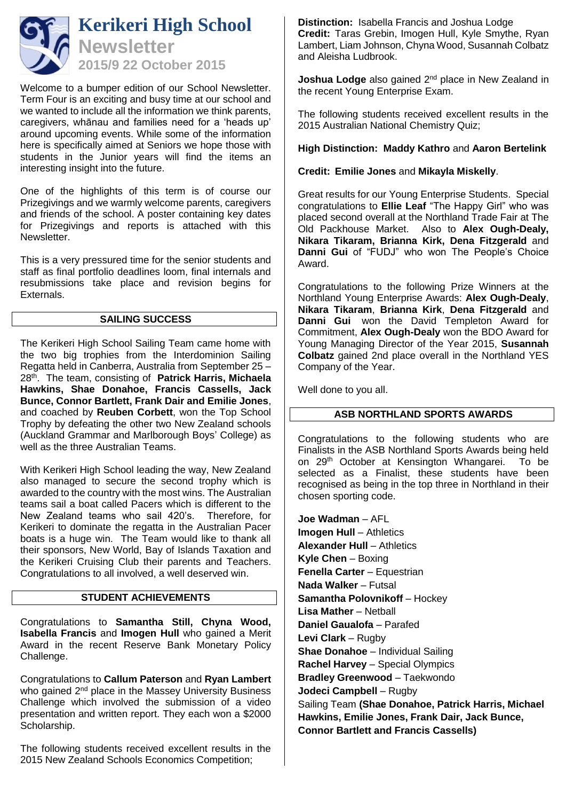

Welcome to a bumper edition of our School Newsletter. Term Four is an exciting and busy time at our school and we wanted to include all the information we think parents, caregivers, whānau and families need for a 'heads up' around upcoming events. While some of the information here is specifically aimed at Seniors we hope those with students in the Junior years will find the items an interesting insight into the future.

One of the highlights of this term is of course our Prizegivings and we warmly welcome parents, caregivers and friends of the school. A poster containing key dates for Prizegivings and reports is attached with this Newsletter.

This is a very pressured time for the senior students and staff as final portfolio deadlines loom, final internals and resubmissions take place and revision begins for Externals.

## **SAILING SUCCESS**

The Kerikeri High School Sailing Team came home with the two big trophies from the Interdominion Sailing Regatta held in Canberra, Australia from September 25 – 28th. The team, consisting of **Patrick Harris, Michaela Hawkins, Shae Donahoe, Francis Cassells, Jack Bunce, Connor Bartlett, Frank Dair and Emilie Jones**, and coached by **Reuben Corbett**, won the Top School Trophy by defeating the other two New Zealand schools (Auckland Grammar and Marlborough Boys' College) as well as the three Australian Teams.

With Kerikeri High School leading the way, New Zealand also managed to secure the second trophy which is awarded to the country with the most wins. The Australian teams sail a boat called Pacers which is different to the New Zealand teams who sail 420's. Therefore, for Kerikeri to dominate the regatta in the Australian Pacer boats is a huge win. The Team would like to thank all their sponsors, New World, Bay of Islands Taxation and the Kerikeri Cruising Club their parents and Teachers. Congratulations to all involved, a well deserved win.

### **STUDENT ACHIEVEMENTS**

Congratulations to **Samantha Still, Chyna Wood, Isabella Francis** and **Imogen Hull** who gained a Merit Award in the recent Reserve Bank Monetary Policy Challenge.

Congratulations to **Callum Paterson** and **Ryan Lambert**  who gained 2<sup>nd</sup> place in the Massey University Business Challenge which involved the submission of a video presentation and written report. They each won a \$2000 Scholarship.

The following students received excellent results in the 2015 New Zealand Schools Economics Competition;

**Distinction:** Isabella Francis and Joshua Lodge **Credit:** Taras Grebin, Imogen Hull, Kyle Smythe, Ryan Lambert, Liam Johnson, Chyna Wood, Susannah Colbatz and Aleisha Ludbrook.

**Joshua Lodge** also gained 2<sup>nd</sup> place in New Zealand in the recent Young Enterprise Exam.

The following students received excellent results in the 2015 Australian National Chemistry Quiz;

**High Distinction: Maddy Kathro** and **Aaron Bertelink**

**Credit: Emilie Jones** and **Mikayla Miskelly**.

Great results for our Young Enterprise Students. Special congratulations to **Ellie Leaf** "The Happy Girl" who was placed second overall at the Northland Trade Fair at The Old Packhouse Market. Also to **Alex Ough-Dealy, Nikara Tikaram, Brianna Kirk, Dena Fitzgerald** and **Danni Gui** of "FUDJ" who won The People's Choice Award.

Congratulations to the following Prize Winners at the Northland Young Enterprise Awards: **Alex Ough-Dealy**, **Nikara Tikaram**, **Brianna Kirk**, **Dena Fitzgerald** and **Danni Gui** won the David Templeton Award for Commitment, **Alex Ough-Dealy** won the BDO Award for Young Managing Director of the Year 2015, **Susannah Colbatz** gained 2nd place overall in the Northland YES Company of the Year.

Well done to you all.

### **ASB NORTHLAND SPORTS AWARDS**

Congratulations to the following students who are Finalists in the ASB Northland Sports Awards being held on 29<sup>th</sup> October at Kensington Whangarei. To be selected as a Finalist, these students have been recognised as being in the top three in Northland in their chosen sporting code.

**Joe Wadman** – AFL **Imogen Hull** – Athletics **Alexander Hull - Athletics Kyle Chen** – Boxing **Fenella Carter** – Equestrian **Nada Walker** – Futsal **Samantha Polovnikoff** – Hockey **Lisa Mather** – Netball **Daniel Gaualofa** – Parafed **Levi Clark** – Rugby **Shae Donahoe** – Individual Sailing **Rachel Harvey** – Special Olympics **Bradley Greenwood** – Taekwondo **Jodeci Campbell** – Rugby Sailing Team **(Shae Donahoe, Patrick Harris, Michael Hawkins, Emilie Jones, Frank Dair, Jack Bunce, Connor Bartlett and Francis Cassells)**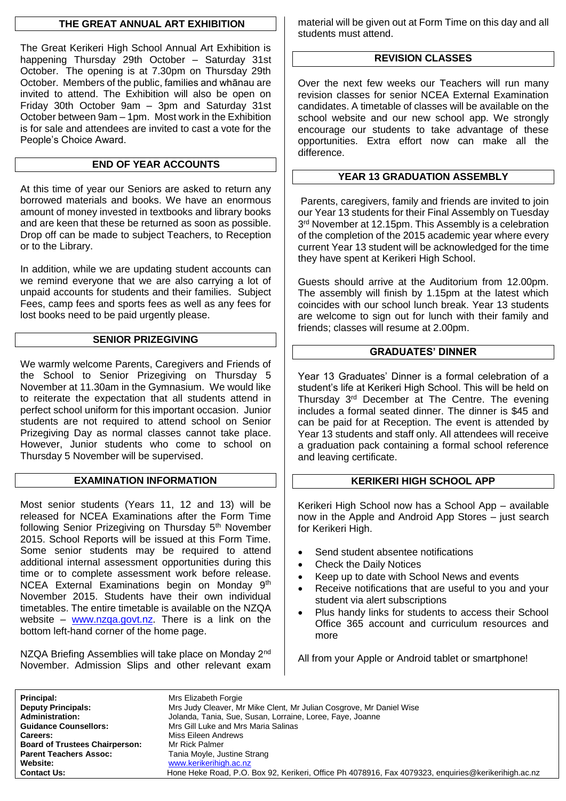## **THE GREAT ANNUAL ART EXHIBITION**

The Great Kerikeri High School Annual Art Exhibition is happening Thursday 29th October – Saturday 31st October. The opening is at 7.30pm on Thursday 29th October. Members of the public, families and whānau are invited to attend. The Exhibition will also be open on Friday 30th October 9am – 3pm and Saturday 31st October between 9am – 1pm. Most work in the Exhibition is for sale and attendees are invited to cast a vote for the People's Choice Award.

# **END OF YEAR ACCOUNTS**

At this time of year our Seniors are asked to return any borrowed materials and books. We have an enormous amount of money invested in textbooks and library books and are keen that these be returned as soon as possible. Drop off can be made to subject Teachers, to Reception or to the Library.

In addition, while we are updating student accounts can we remind everyone that we are also carrying a lot of unpaid accounts for students and their families. Subject Fees, camp fees and sports fees as well as any fees for lost books need to be paid urgently please.

## **SENIOR PRIZEGIVING**

We warmly welcome Parents, Caregivers and Friends of the School to Senior Prizegiving on Thursday 5 November at 11.30am in the Gymnasium. We would like to reiterate the expectation that all students attend in perfect school uniform for this important occasion. Junior students are not required to attend school on Senior Prizegiving Day as normal classes cannot take place. However, Junior students who come to school on Thursday 5 November will be supervised.

### **EXAMINATION INFORMATION**

Most senior students (Years 11, 12 and 13) will be released for NCEA Examinations after the Form Time following Senior Prizegiving on Thursday 5<sup>th</sup> November 2015. School Reports will be issued at this Form Time. Some senior students may be required to attend additional internal assessment opportunities during this time or to complete assessment work before release. NCEA External Examinations begin on Monday 9<sup>th</sup> November 2015. Students have their own individual timetables. The entire timetable is available on the NZQA website – [www.nzqa.govt.nz.](http://www.nzqa.govt.nz/) There is a link on the bottom left-hand corner of the home page.

NZQA Briefing Assemblies will take place on Monday 2<sup>nd</sup> November. Admission Slips and other relevant exam material will be given out at Form Time on this day and all students must attend.

## **REVISION CLASSES**

Over the next few weeks our Teachers will run many revision classes for senior NCEA External Examination candidates. A timetable of classes will be available on the school website and our new school app. We strongly encourage our students to take advantage of these opportunities. Extra effort now can make all the difference.

## **YEAR 13 GRADUATION ASSEMBLY**

Parents, caregivers, family and friends are invited to join our Year 13 students for their Final Assembly on Tuesday 3<sup>rd</sup> November at 12.15pm. This Assembly is a celebration of the completion of the 2015 academic year where every current Year 13 student will be acknowledged for the time they have spent at Kerikeri High School.

Guests should arrive at the Auditorium from 12.00pm. The assembly will finish by 1.15pm at the latest which coincides with our school lunch break. Year 13 students are welcome to sign out for lunch with their family and friends; classes will resume at 2.00pm.

## **GRADUATES' DINNER**

Year 13 Graduates' Dinner is a formal celebration of a student's life at Kerikeri High School. This will be held on Thursday 3<sup>rd</sup> December at The Centre. The evening includes a formal seated dinner. The dinner is \$45 and can be paid for at Reception. The event is attended by Year 13 students and staff only. All attendees will receive a graduation pack containing a formal school reference and leaving certificate.

## **KERIKERI HIGH SCHOOL APP**

Kerikeri High School now has a School App – available now in the Apple and Android App Stores – just search for Kerikeri High.

- Send student absentee notifications
- Check the Daily Notices
- Keep up to date with School News and events
- Receive notifications that are useful to you and your student via alert subscriptions
- Plus handy links for students to access their School Office 365 account and curriculum resources and more

All from your Apple or Android tablet or smartphone!

| <b>Principal:</b>                     | Mrs Elizabeth Forgie                                                                                |
|---------------------------------------|-----------------------------------------------------------------------------------------------------|
| <b>Deputy Principals:</b>             | Mrs Judy Cleaver, Mr Mike Clent, Mr Julian Cosgrove, Mr Daniel Wise                                 |
| <b>Administration:</b>                | Jolanda, Tania, Sue, Susan, Lorraine, Loree, Faye, Joanne                                           |
| <b>Guidance Counsellors:</b>          | Mrs Gill Luke and Mrs Maria Salinas                                                                 |
| <b>Careers:</b>                       | Miss Eileen Andrews                                                                                 |
| <b>Board of Trustees Chairperson:</b> | Mr Rick Palmer                                                                                      |
| <b>Parent Teachers Assoc:</b>         | Tania Moyle, Justine Strang                                                                         |
| Website:                              | www.kerikerihigh.ac.nz                                                                              |
| <b>Contact Us:</b>                    | Hone Heke Road, P.O. Box 92, Kerikeri, Office Ph 4078916, Fax 4079323, enquiries@kerikerihigh.ac.nz |